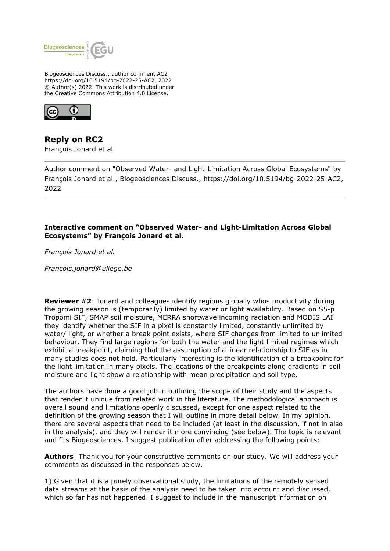

Biogeosciences Discuss., author comment AC2 https://doi.org/10.5194/bg-2022-25-AC2, 2022 © Author(s) 2022. This work is distributed under the Creative Commons Attribution 4.0 License.



**Reply on RC2** François Jonard et al.

Author comment on "Observed Water- and Light-Limitation Across Global Ecosystems" by François Jonard et al., Biogeosciences Discuss., https://doi.org/10.5194/bg-2022-25-AC2, 2022

## **Interactive comment on "Observed Water- and Light-Limitation Across Global Ecosystems" by François Jonard et al.**

*François Jonard et al.*

*Francois.jonard@uliege.be*

**Reviewer #2:** Jonard and colleagues identify regions globally whos productivity during the growing season is (temporarily) limited by water or light availability. Based on S5-p Tropomi SIF, SMAP soil moisture, MERRA shortwave incoming radiation and MODIS LAI they identify whether the SIF in a pixel is constantly limited, constantly unlimited by water/ light, or whether a break point exists, where SIF changes from limited to unlimited behaviour. They find large regions for both the water and the light limited regimes which exhibit a breakpoint, claiming that the assumption of a linear relationship to SIF as in many studies does not hold. Particularly interesting is the identification of a breakpoint for the light limitation in many pixels. The locations of the breakpoints along gradients in soil moisture and light show a relationship with mean precipitation and soil type.

The authors have done a good job in outlining the scope of their study and the aspects that render it unique from related work in the literature. The methodological approach is overall sound and limitations openly discussed, except for one aspect related to the definition of the growing season that I will outline in more detail below. In my opinion, there are several aspects that need to be included (at least in the discussion, if not in also in the analysis), and they will render it more convincing (see below). The topic is relevant and fits Biogeosciences, I suggest publication after addressing the following points:

**Authors**: Thank you for your constructive comments on our study. We will address your comments as discussed in the responses below.

1) Given that it is a purely observational study, the limitations of the remotely sensed data streams at the basis of the analysis need to be taken into account and discussed, which so far has not happened. I suggest to include in the manuscript information on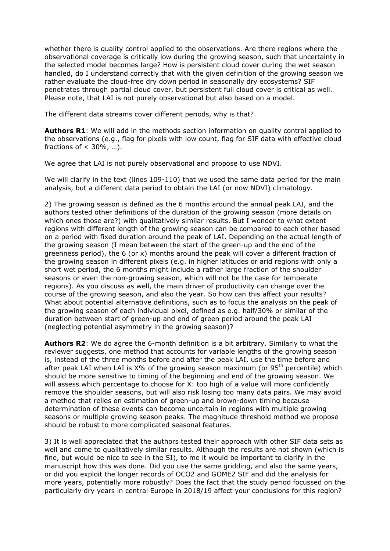whether there is quality control applied to the observations. Are there regions where the observational coverage is critically low during the growing season, such that uncertainty in the selected model becomes large? How is persistent cloud cover during the wet season handled, do I understand correctly that with the given definition of the growing season we rather evaluate the cloud-free dry down period in seasonally dry ecosystems? SIF penetrates through partial cloud cover, but persistent full cloud cover is critical as well. Please note, that LAI is not purely observational but also based on a model.

The different data streams cover different periods, why is that?

**Authors R1**: We will add in the methods section information on quality control applied to the observations (e.g., flag for pixels with low count, flag for SIF data with effective cloud fractions of  $<$  30%, ...).

We agree that LAI is not purely observational and propose to use NDVI.

We will clarify in the text (lines 109-110) that we used the same data period for the main analysis, but a different data period to obtain the LAI (or now NDVI) climatology.

2) The growing season is defined as the 6 months around the annual peak LAI, and the authors tested other definitions of the duration of the growing season (more details on which ones those are?) with qualitatively similar results. But I wonder to what extent regions with different length of the growing season can be compared to each other based on a period with fixed duration around the peak of LAI. Depending on the actual length of the growing season (I mean between the start of the green-up and the end of the greenness period), the  $6$  (or x) months around the peak will cover a different fraction of the growing season in different pixels (e.g. in higher latitudes or arid regions with only a short wet period, the 6 months might include a rather large fraction of the shoulder seasons or even the non-growing season, which will not be the case for temperate regions). As you discuss as well, the main driver of productivity can change over the course of the growing season, and also the year. So how can this affect your results? What about potential alternative definitions, such as to focus the analysis on the peak of the growing season of each individual pixel, defined as e.g. half/30% or similar of the duration between start of green-up and end of green period around the peak LAI (neglecting potential asymmetry in the growing season)?

**Authors R2**: We do agree the 6-month definition is a bit arbitrary. Similarly to what the reviewer suggests, one method that accounts for variable lengths of the growing season is, instead of the three months before and after the peak LAI, use the time before and after peak LAI when LAI is  $X\%$  of the growing season maximum (or  $95<sup>th</sup>$  percentile) which should be more sensitive to timing of the beginning and end of the growing season. We will assess which percentage to choose for X: too high of a value will more confidently remove the shoulder seasons, but will also risk losing too many data pairs. We may avoid a method that relies on estimation of green-up and brown-down timing because determination of these events can become uncertain in regions with multiple growing seasons or multiple growing season peaks. The magnitude threshold method we propose should be robust to more complicated seasonal features.

3) It is well appreciated that the authors tested their approach with other SIF data sets as well and come to qualitatively similar results. Although the results are not shown (which is fine, but would be nice to see in the SI), to me it would be important to clarify in the manuscript how this was done. Did you use the same gridding, and also the same years, or did you exploit the longer records of OCO2 and GOME2 SIF and did the analysis for more years, potentially more robustly? Does the fact that the study period focussed on the particularly dry years in central Europe in 2018/19 affect your conclusions for this region?